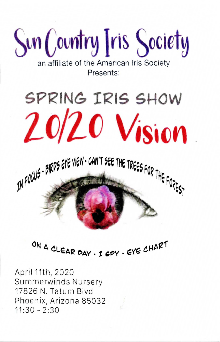**Sun** Country Tris Society

an affiliate of the American Iris Society Presents:

# SPRING IRIS SHOW  $20/20$  Vision



# ON A CLEAR DAY . I SPY . EYE CHART

April 11th, 2020 Summerwinds Nursery 17826 N. Taturn Blvd Phoenix, Arizona 85032  $11:30 - 2:30$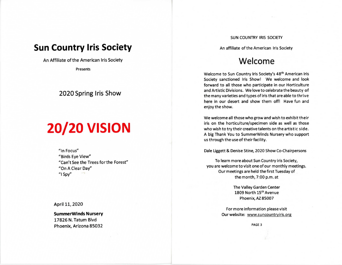# **Sun Country Iris Society**

An Affiliate of the American Iris Society

Presents

### **2020 Spring Iris Show**

# **20/20 VISION**

"In Focus" "Birds Eye View" "Can't See the Trees forthe Forest" "On A Clear Day" "I Spy"

April 11, 2020

**SummerWlnds Nursery**  17826 N. Tatum Blvd Phoenix, Arizona 85032

#### SUN COUNTRY IRIS SOCIETY

An affiliate of the American Iris Society

## **Welcome**

Welcome to Sun Country Iris Society's 48<sup>th</sup> American Iris Society sanctioned Iris Show! We welcome and look forward to all those who participate in our Horticulture and Artistic Divisions. We love to celebrate the beauty of the many varieties and types of iris that are able to thrive here in our desert and show them off! Have fun and enjoy the show.

We welcome all those who grow and wish to exhibit their iris on the horticulture/specimen side as well as those who wish to try their creative talents on the artistic side. A big Thank You to SummerWinds Nursery who support us through the use of their facility.

Dale liggett & Denise Stine, 2020 Show Co-Chairpersons

To learn more about Sun Country iris Society, you are welcome to visit one of our monthly meetings. Our meetings are held the first Tuesday of the month, 7:00 p.m. at

> The Valley Garden Center 1809 North 15th Avenue Phoenix, AZ 85007

For more information please visit Our website: www.suncountryiris.org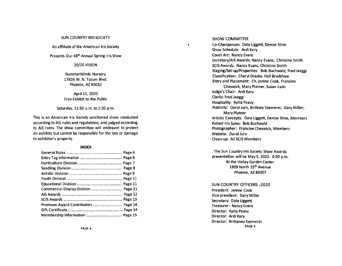#### SUN COUNTRY IRIS SOCIETY

An affiliate of the American Iris Society

Presents Our 48<sup>th</sup> Annual Spring Iris Show

20/20 VISION

SummerWinds Nursery 17826 W. N. Tatum Blvd. Phoenix, AZ 85032

April 11, 2020 Free Exhibit to the Public

Saturday, 11:30 a.m. to 2:30 p.m.

This is an American Iris Society sanctioned show, conducted according to AIS rules and regulations, and judged according to AIS rules. The show committee will endeavor to protect all exhibits but cannot be responsible for the loss or damage to exhibitor's property.

#### **INDEX**

| Commercial Display Division  Page 11 |  |
|--------------------------------------|--|
|                                      |  |
|                                      |  |
| Premium Award Contributors  Page 14  |  |
|                                      |  |
|                                      |  |

SHOW COMMITTEE

 $\lambda$ 

Co-Chairperson: Dale liggett, Denise Stine Show Schedule: Ardi Kary Cover Art: Nancy Evans Secretary/AIS Awards: Nancy Evans, Christine Smith SCIS Awards: Nancy Evans, Christine Smith Staging/Set-up/Properties: Bob Buchwald, Fred Jaeggi Classification: Cheryl Dreska, Hall Bradshaw Entry and Placement: Ch. Jenine Cook, Francine Cheswick, Mary Platner, Susan Lyon Judge's Chair: Ardi Kary Clerks: Fred Jaeggi Hospitality: Kyria Peavy Publicity: Darol Jurn, Brittney Szemerei, Gary Miller, Mary Platner Artistic Concepts: Dale liggett, Denise Stine, Members Potted Iris Sales: Bob Buchwald Photographer: Francine Cheswick, Members Website: Darol Jurn Clean-up: All SCIS Members

The Sun Country Iris Society Show Awards presentation will be May 5, 2020. 6:30 p.m. At the Valley Garden Center 1809 North 15th Avenue Phoenix, AZ 85007

SUN COUNTRY OFFICERS -2020 President: Jenine Cook Vice president: Gary Miller Secretary: Dale Liggett Treasurer: Nancy Evans Director: Kyria Peavy Director: Ardi Kary Director: Brittaney Szemerei PAGE 5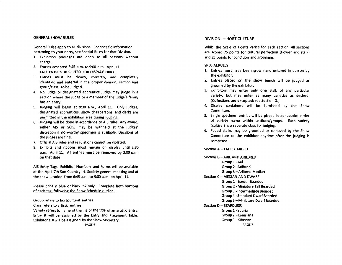#### GENERAL SHOW RULES

General Rules apply to all divisions. For specific information pertaining to your entry, see Special Rules for that Division.

- 1. Exhibition privileges are open to all persons without charge.
- Z. Entries accepted 6:45 a.m. to 9:00 a.m., April 11. LATE ENTRIES ACCEPTED FOR DISPLAY ONLY.
- 3. Entries must be clearly, correctly, and completely identified and entered in the proper division, section and group/class; to be judged.
- 4. No judge or designated apprentice judge may judge in a section where the judge or a member of the judge's family has an entry.
- 5. Judging will begin at 9:30 a.m., April 11. Only judges, designated apprentices, show chairpersons, and clerks are permitted in the exhibition area during judging.
- 6. Judging will be done in accordance to AIS rules. Any award, either AIS or SCIS, may be withheld at the judges' discretion if no worthy specimen is available. Decisions of the judges are final.
- 7. Official AIS rules and regulations cannot be violated.
- 8. Exhibits and ribbons must remain on display until 2:30 p.m., April 11. All entries must be removed by 3:00 p.m. on that date.

AIS Entry Tags, Exhibitor Numbers and Forms will be available at the April 7th Sun Country Iris Society general meeting and at the show location from 6:45 a.m. to 9:00 a.m. on April 11.

Please print in blue or black ink only. Complete both portions of each tag, following the Show Schedule outline.

Group refers to horticultural entries. Class refers to artistic entries. Variety refers to name of the iris or the title of an artistic entry. Entry # will be assigned by the Entry and Placement Table. Exhibitor's # will be assigned by the Show Secretary.

### .... DIVISION I-HORTICULTURE

While the Scale of Points varies for each section, all sections are scored 75 points for cultural perfection (flower and stalk) and 25 points for condition and grooming.

#### **SPECIAL RULES**

- 1. Entries must have been grown and entered in person by the exhibitor.
- 2. Entries placed on the show bench will be judged as groomed by the exhibitor.
- 3. Exhibitors may enter only one stalk of any particular variety, but may enter as many varieties as desired. (Collections are excepted; see Section G.)
- 4. Display containers will be furnished by the Show Committee.
- 5. Single specimen entries will be placed in alphabetical order of variety name within sections/groups. Each variety (cultivar) is a separate class for judging.
- 6. Faded stalks may be groomed or removed by the Show Committee or the exhibitor anytime after the judging is competed.

Section A - TALL BEARDED

Section B - ARIL AND ARILBRED Group 1-Aril Group 2 - Arilbred Group 3 -Arilbred Median Section C - MEDIAN AND DWARF Group 1- Border Bearded Group 2 - Miniature Tall Bearded Group 3 -Intermediate Bearded Group 4 - Standard Dwarf Bearded Group 5 - Miniature Dwarf Bearded Section D - BEARDLESS Group 1-Spuria Group 2 - Louisiana Group3 -Siberian PAGE 7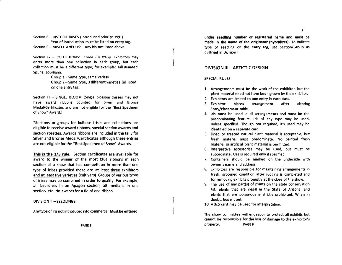Section E - HISTORIC IRISES (Introduced prior to 1991) Year of introduction must be listed on entry tag. Section F - MISCELLANEOUS: Any iris not listed above.

Section  $G - COLECTIONS:$  Three (3) stalks. Exhibitors may enter more than one collection in each group, but each collection must be a different type; for example: Tall Bearded, Spuria, Louisiana.

> Group 1-Same type, same variety Group 2 - Same type, 3 different varieties (all listed on one entry tag.)

Section H - SINGLE BLOOM (Single blossom classes may not have award ribbons counted for Silver and Bronze Medal/Certificates and are not eligible for the "Best Specimen of Show" Award.)

\*Sections or groups for bulbous irises and collections are eligible to receive award ribbons, special section awards and section rosettes. Awards ribbons are included in the tally for Silver and Bronze Medal/Certificates although these entries are not eligible for the "Best Specimen of Show" Awards.

This is the 3/5 rule. Section certificates are available for award to the winner of the most blue ribbons in each section of a show that has competition in more than one type of irises provided there are at least three exhibitors and at least five varieties (cultivars). Groups of various types of irises may be combined in order to qualify. For example, all beardless in an Apagon section, all medians in one section, etc. No awards for a tie of one ribbon.

DIVISION II - SEEDLINGS

Any type of iris not introduced into commerce Must be entered

under seedling number or registered name and must be made in the name of the originator (hybridizer). To indicate type of seedllng on the entry tag, use Section/Group as outlined in Division I

#### DIVISION 111- ARTICTIC DESIGN

#### SPECIAL RULES

- 1. Arrangements must be the work of the exhibitor, but the plant material need not have been grown by the exhibitor.
- 2. Exhibitors are limited to one entry in each class.
- 3. Exhibitor places arrangement after clearing Entry/Placement table.
- 4. Iris must be used in all arrangements and must be the predominating feature. Iris of any type may be used, unless specified. Though not required, iris used may be identified on a separate card.
- 5. Dried or treated natural plant material is acceptable, but fresh material must predominate. No painted fresh material or artificial plant material is permitted.
- 6. Interpretive accessories may be used, but must be subordinate. Use is required only if specified.
- 7. Containers should be marked on the underside with owner's name and address.
- 8. Exhibitors are responsible for maintaining arrangements in fresh, groomed condition after judging is completed and for removing exhibits promptly at the close of the show.
- 9. The use of any part(s) of plants on the state conservation list, plants that are illegal in the State of Arizona, and plants that are poisonous is strictly prohibited. When in doubt, leave it out.

10. A 3xs card may be used for interpretation.

The show committee will endeavor to protect all exhibits but cannot be responsible for the loss or damage to the exhibitor's property. PAGE 9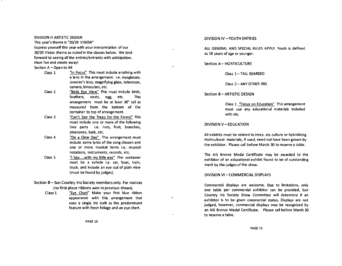#### DIVISION III ARTISTIC DESIGN

This year's theme is "20/20 VISION" Express yourself this year with your interpretation of our 20/20 Vision theme as noted in the classes below. We look forward to seeing all the entries/entrants with anticipation. Have fun and create awayl

Section A - Open to All

- Class 1 "In Focus" This must include anything with a lens in the arrangement. i.e. eyeglasses. jeweler's lens, magnifying glass, telescope, camera, binoculars, etc.
- Class 2 "Birds Eye View" This must include birds, feathers, nests, egg, etc. This arrangement must be at least 30" tall as measured from the bottom of the container to top of arrangement.
- Class 3 "Can't See the Trees for the Forest" This must include one or more of the following tree parts i.e. nuts, fruit, branches, pinecones, bark, etc.
- Class 4 "On a Clear Day" This arrangement must include some lyrics of the song chosen and one or more musical items i.e. musical notations, instruments, records, etc.
- Class 5 "1 Spy ..... with my little eye" The container must be a vehicle i.e. car, boat, train, truck, and include an eye out of plain view (must be found by judges).
- Section B Sun Country Iris Society members only. For novices (no first place ribbons won in previous shows).
	- Class 1 "Eye Chart" Make your first blue ribbon appearance with this arrangement that uses a single iris stalk as the predominant feature with fresh foliage and an eye chart.

PAGE 10

#### DIVISION IV – YOUTH ENTRIES

ALL GENERAL AND SPECIAL RULES APPLY. Youth is defined as 19 years of age or younger.

Section A - HORTICULTURE

Class 1-TALL BEARDED

Class 2 - ANY OTHER IRIS

Section B - ARTISTIC DESIGN

Class 1 "Focus on Education" This arrangement must use any educational materials included with iris.

#### DIVISION V – EDUCATION

z,

 $\mathcal{O}_\bullet$ 

All exhibits must be related to irises, iris culture or hybridizing. Horticultural materials, if used, need not have been grown by the exhibitor. Please call before March 30 to reserve a table.

The AIS Bronze Medal Certificate may be awarded to the exhibitor of an educational exhibit found to be of outstanding merit by the judges of the show.

#### DIVISION VI-COMMERCIAL DISPLAYS

Commercial displays are welcome. Due to limitations, only one table per commercial exhibitor can be provided, Sun Country Iris Society Show Committee will determine if an exhibitor is to be given commercial status, Displays are not judged, however, commercial displays may be recognized by an AIS Bronze Medal Certificate. Please call before March 30 to reserve a table.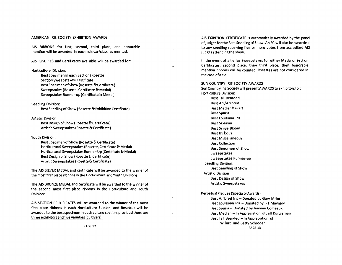#### AMERICAN IRIS SOCIETY EXHIBITION AWARDS

AIS RIBBONS for first, second, third place, and honorable mention will be awarded in each cultivar/class as merited.

AIS ROSETTES and Certificates available will be awarded for:

#### Horticulture Division:

Best Specimen in each Section (Rosette) Section Sweepstakes (Certificate) Best Specimen of Show (Rosette & Certificate) Sweepstakes (Rosette, Certificate & Medal) Sweepstakes Runner-up (Certificate & Medal)

#### Seedling Division:

Best Seedling of Show (Rosette & Exhibition Certificate)

Artistic Division:

Best Design of Show (Rosette & Certificate) Artistic Sweepstakes (Rosette & Certificate)

#### Youth Division:

Best Specimen of Show (Rosette & Certificate) Horticultural Sweepstakes (Rosette, Certificate & Medal) Horticultural Sweepstakes Runner-Up (Certificate & Medal) Best Design of Show (Rosette & Certificate) Artistic Sweepstakes (Rosette & Certificate)

The AIS SILVER MEDAL and certificate will be awarded to the winner of the most first place ribbons in the Horticulture and Youth Divisions.

The AIS BRONZE MEDAL and certificate will be awarded to the winner of the second most first place ribbons in the Horticulture and Youth Divisions.

AIS SECTION CERTIFICATES will be awarded to the winner of the most first place ribbons in each Horticulture Section, and Rosettes will be awarded to the best specimen in each culture section, provided there are three exhibitors and five varieties (cultivars).

PAGE 12

AIS EXIBITION CERTIFICATE is automatically awarded by the panel of judges for the Best Seedling of Show. An EC will also be awarded to any seedling receiving five or more votes from accredited AIS judges attending the show.

In the event of a tie for Sweepstakes for either Medal or Section Certificates; second place, then third place, then honorable mention ribbons will be counted. Rosettes are not considered in the case ofa tie.

#### SUN COUNTRY IRIS SOCIETY AWARDS

Sun Country Iris Society will present AWARDS to exhibitors for: Horticulture Division: Best Tall Bearded Best Aril/Arilbred Best Median/Dwarf Best Spuria Best Louisiana Iris Best Siberian Best Single Bloom Best Bulbous Best Miscellaneous Best Collection Best Specimen of Show Sweepstakes Sweepstakes Runner-up Seedling Division: Best Seedling of Show Artistic Division Best Design of Show Artistic Sweepstakes

Perpetual Plaques (Specialty Awards)

À.

Best Arilbred Iris - Donated by Gary Miller Best Louisiana Iris - Donated by Bill Maynard Best Spuria - Donated by Jeannie Comeaux Best Median - In Appreciation of Jeff Kurtzeman Best Tall Bearded - In Appreciation of Willard and Betty Schroder PAGE 13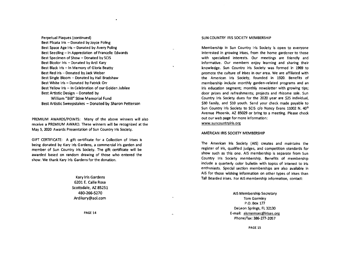Perpetual Plaques (continued) Best Plicata Iris  $-$  Donated by Joyce Poling Best Space Age Iris - Donated by Avery Poling Best Seedling - In Appreciation of Francelle Edwards Best Specimen of Show - Donated by SCIS Best Bicolor Iris - Donated by Ardi Kary Best Black Iris - In Memory of Gloria Beatty Best Red Iris - Donated by Jack Weber Best Single Bloom - Donated by Hall Bradshaw Best White Iris - Donated by Patrick Orr Best Yellow Iris - In Celebration of our Golden Jubilee Best Artistic Design - Donated by William "Bill" Stine Memorial Fund Best Artistic Sweepstakes - Donated by Sharon Petterson

PREMIUM AWARDS/POINTS: Many of the above winners will also receive a PREMIUM AWARD. These winners will be recognized at the May 5, 2020 Awards Presentation of Sun Country Iris Society.

GIFT CERTIFICATE: A gift certificate for a Collection of Irises is being donated by Kary Iris Gardens, a commercial iris garden and member of Sun Country Iris Society. The gift certificate wilt be awarded based on random drawing of those who entered the show. We thank Kary Iris Gardens for the donation.

> Kary Iris Gardens 6201 E. Calle Rosa Scottsdale, AZ 85251 480-266-5270 Ardi kary@aol,com

> > PAGE 14

#### SUN COUNTRY IRIS SOCIETY MEMBERSHIP

Membership in Sun Country Iris Society is open to everyone interested in growing irises, from the home gardener to those with specialized interests. Our meetings are friendly and informative. Our members enjoy learning and sharing their knowledge. Sun Country iris Society was formed in 1969 to promote the culture of irises in our area. We are affiliated with the American Iris Society, founded in 1920. Benefits of membership include monthly garden-related programs and an iris education segment; monthly newsletter with growing tips; door prizes and refreshments; projects and rhizome sale. Sun Country Iris Society dues for the 2020 year are \$25 individual, \$30 family, and \$10 youth. Send your check made payable to Sun Country Iris Society to SCIS c/o Nancy Evans 11002 N. 40<sup>th</sup> Avenue Phoenix, AZ 85029 or bring to a meeting. Please check out our web page for more information: www.suncountryiris.org

#### AMERICAN IRIS SOCIETY MEMBERSHIP

The American Iris Society (AIS) creates and maintains the register of iris, qualified judges, and competition standards for show such as this one. AIS membership is separate from Sun Country Iris Society membership. Benefits of membership include a quarterly color bulletin with topics of interest to iris enthusiasts. Special section memberships are also available in AIS for those wishing information on other types of irises than Tall Bearded irises. For AIS membership information, contact:

> AIS Membership Secretary Tom Gormley P.O. Box 177 Deleon Springs, Fl32130 E-mail: aismemsec@irises.org Phone/fax: 386-277-2057